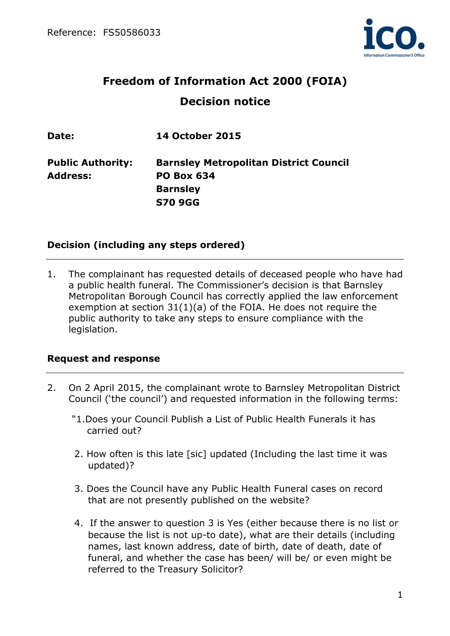

# **Freedom of Information Act 2000 (FOIA) Decision notice**

| <b>Public Authority:</b><br><b>Barnsley Metropolitan District Council</b> |  |
|---------------------------------------------------------------------------|--|
| <b>Address:</b><br><b>PO Box 634</b>                                      |  |
| <b>Barnsley</b>                                                           |  |
| <b>S70 9GG</b>                                                            |  |

## **Decision (including any steps ordered)**

1. The complainant has requested details of deceased people who have had a public health funeral. The Commissioner's decision is that Barnsley Metropolitan Borough Council has correctly applied the law enforcement exemption at section 31(1)(a) of the FOIA. He does not require the public authority to take any steps to ensure compliance with the legislation.

#### **Request and response**

- 2. On 2 April 2015, the complainant wrote to Barnsley Metropolitan District Council ('the council') and requested information in the following terms:
	- "1.Does your Council Publish a List of Public Health Funerals it has carried out?
	- 2. How often is this late [sic] updated (Including the last time it was updated)?
	- 3. Does the Council have any Public Health Funeral cases on record that are not presently published on the website?
	- 4. If the answer to question 3 is Yes (either because there is no list or because the list is not up-to date), what are their details (including names, last known address, date of birth, date of death, date of funeral, and whether the case has been/ will be/ or even might be referred to the Treasury Solicitor?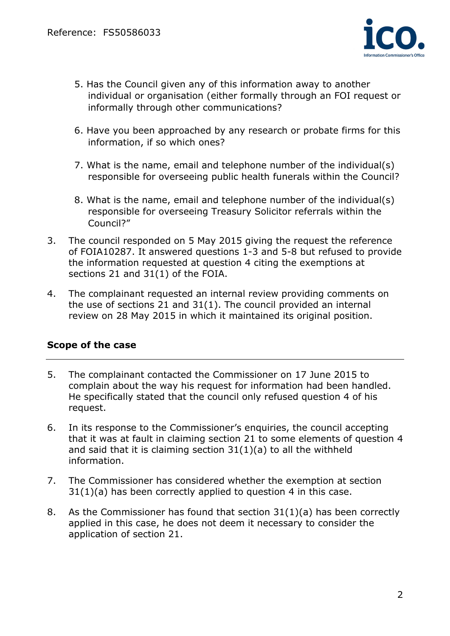

- 5. Has the Council given any of this information away to another individual or organisation (either formally through an FOI request or informally through other communications?
- 6. Have you been approached by any research or probate firms for this information, if so which ones?
- 7. What is the name, email and telephone number of the individual(s) responsible for overseeing public health funerals within the Council?
- 8. What is the name, email and telephone number of the individual(s) responsible for overseeing Treasury Solicitor referrals within the Council?"
- 3. The council responded on 5 May 2015 giving the request the reference of FOIA10287. It answered questions 1-3 and 5-8 but refused to provide the information requested at question 4 citing the exemptions at sections 21 and 31(1) of the FOIA.
- 4. The complainant requested an internal review providing comments on the use of sections 21 and 31(1). The council provided an internal review on 28 May 2015 in which it maintained its original position.

# **Scope of the case**

- 5. The complainant contacted the Commissioner on 17 June 2015 to complain about the way his request for information had been handled. He specifically stated that the council only refused question 4 of his request.
- 6. In its response to the Commissioner's enquiries, the council accepting that it was at fault in claiming section 21 to some elements of question 4 and said that it is claiming section  $31(1)(a)$  to all the withheld information.
- 7. The Commissioner has considered whether the exemption at section 31(1)(a) has been correctly applied to question 4 in this case.
- 8. As the Commissioner has found that section 31(1)(a) has been correctly applied in this case, he does not deem it necessary to consider the application of section 21.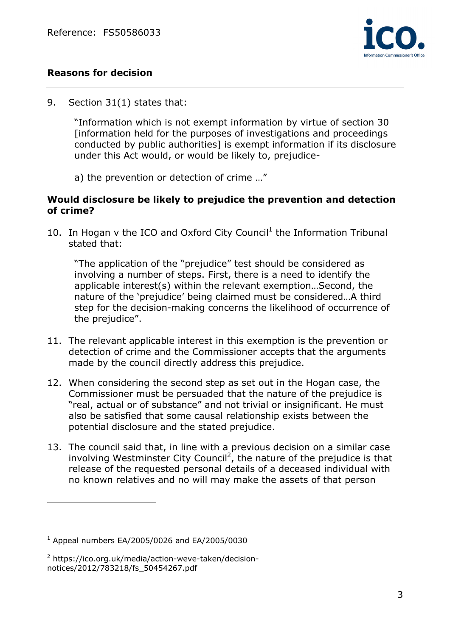

# **Reasons for decision**

9. Section 31(1) states that:

 "Information which is not exempt information by virtue of section 30 [information held for the purposes of investigations and proceedings conducted by public authorities] is exempt information if its disclosure under this Act would, or would be likely to, prejudice-

a) the prevention or detection of crime …"

### **Would disclosure be likely to prejudice the prevention and detection of crime?**

10. In Hogan  $v$  the ICO and Oxford City Council<sup>1</sup> the Information Tribunal stated that:

 "The application of the "prejudice" test should be considered as involving a number of steps. First, there is a need to identify the applicable interest(s) within the relevant exemption…Second, the nature of the 'prejudice' being claimed must be considered…A third step for the decision-making concerns the likelihood of occurrence of the prejudice".

- 11. The relevant applicable interest in this exemption is the prevention or detection of crime and the Commissioner accepts that the arguments made by the council directly address this prejudice.
- 12. When considering the second step as set out in the Hogan case, the Commissioner must be persuaded that the nature of the prejudice is "real, actual or of substance" and not trivial or insignificant. He must also be satisfied that some causal relationship exists between the potential disclosure and the stated prejudice.
- 13. The council said that, in line with a previous decision on a similar case involving Westminster City Council<sup>2</sup>, the nature of the prejudice is that release of the requested personal details of a deceased individual with no known relatives and no will may make the assets of that person

 $1$  Appeal numbers EA/2005/0026 and EA/2005/0030

<sup>&</sup>lt;sup>2</sup> https://ico.org.uk/media/action-weve-taken/decisionnotices/2012/783218/fs\_50454267.pdf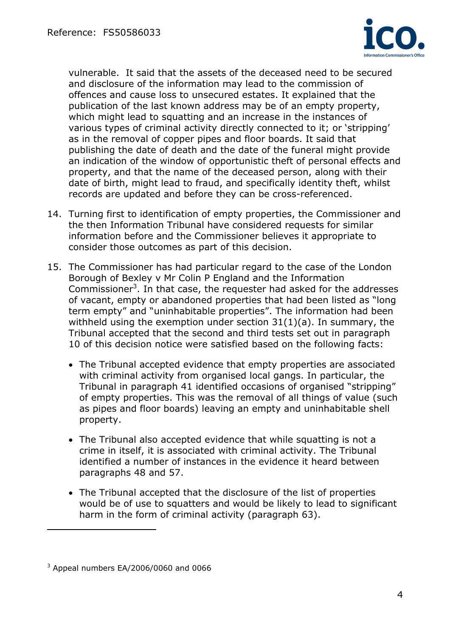

vulnerable. It said that the assets of the deceased need to be secured and disclosure of the information may lead to the commission of offences and cause loss to unsecured estates. It explained that the publication of the last known address may be of an empty property, which might lead to squatting and an increase in the instances of various types of criminal activity directly connected to it; or 'stripping' as in the removal of copper pipes and floor boards. It said that publishing the date of death and the date of the funeral might provide an indication of the window of opportunistic theft of personal effects and property, and that the name of the deceased person, along with their date of birth, might lead to fraud, and specifically identity theft, whilst records are updated and before they can be cross-referenced.

- 14. Turning first to identification of empty properties, the Commissioner and the then Information Tribunal have considered requests for similar information before and the Commissioner believes it appropriate to consider those outcomes as part of this decision.
- 15. The Commissioner has had particular regard to the case of the London Borough of Bexley v Mr Colin P England and the Information Commissioner<sup>3</sup>. In that case, the requester had asked for the addresses of vacant, empty or abandoned properties that had been listed as "long term empty" and "uninhabitable properties". The information had been withheld using the exemption under section  $31(1)(a)$ . In summary, the Tribunal accepted that the second and third tests set out in paragraph 10 of this decision notice were satisfied based on the following facts:
	- The Tribunal accepted evidence that empty properties are associated with criminal activity from organised local gangs. In particular, the Tribunal in paragraph 41 identified occasions of organised "stripping" of empty properties. This was the removal of all things of value (such as pipes and floor boards) leaving an empty and uninhabitable shell property.
	- The Tribunal also accepted evidence that while squatting is not a crime in itself, it is associated with criminal activity. The Tribunal identified a number of instances in the evidence it heard between paragraphs 48 and 57.
	- The Tribunal accepted that the disclosure of the list of properties would be of use to squatters and would be likely to lead to significant harm in the form of criminal activity (paragraph 63).

 $3$  Appeal numbers EA/2006/0060 and 0066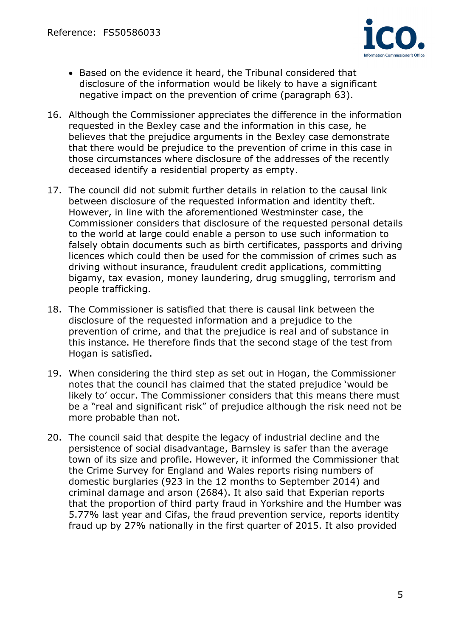

- Based on the evidence it heard, the Tribunal considered that disclosure of the information would be likely to have a significant negative impact on the prevention of crime (paragraph 63).
- 16. Although the Commissioner appreciates the difference in the information requested in the Bexley case and the information in this case, he believes that the prejudice arguments in the Bexley case demonstrate that there would be prejudice to the prevention of crime in this case in those circumstances where disclosure of the addresses of the recently deceased identify a residential property as empty.
- 17. The council did not submit further details in relation to the causal link between disclosure of the requested information and identity theft. However, in line with the aforementioned Westminster case, the Commissioner considers that disclosure of the requested personal details to the world at large could enable a person to use such information to falsely obtain documents such as birth certificates, passports and driving licences which could then be used for the commission of crimes such as driving without insurance, fraudulent credit applications, committing bigamy, tax evasion, money laundering, drug smuggling, terrorism and people trafficking.
- 18. The Commissioner is satisfied that there is causal link between the disclosure of the requested information and a prejudice to the prevention of crime, and that the prejudice is real and of substance in this instance. He therefore finds that the second stage of the test from Hogan is satisfied.
- 19. When considering the third step as set out in Hogan, the Commissioner notes that the council has claimed that the stated prejudice 'would be likely to' occur. The Commissioner considers that this means there must be a "real and significant risk" of prejudice although the risk need not be more probable than not.
- 20. The council said that despite the legacy of industrial decline and the persistence of social disadvantage, Barnsley is safer than the average town of its size and profile. However, it informed the Commissioner that the Crime Survey for England and Wales reports rising numbers of domestic burglaries (923 in the 12 months to September 2014) and criminal damage and arson (2684). It also said that Experian reports that the proportion of third party fraud in Yorkshire and the Humber was 5.77% last year and Cifas, the fraud prevention service, reports identity fraud up by 27% nationally in the first quarter of 2015. It also provided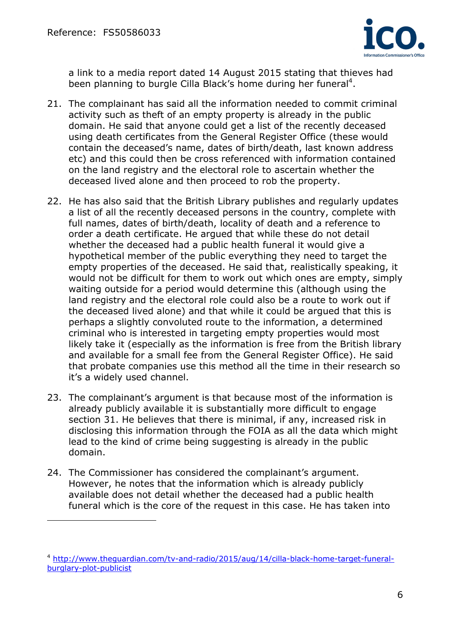$\overline{a}$ 



a link to a media report dated 14 August 2015 stating that thieves had been planning to burgle Cilla Black's home during her funeral<sup>4</sup>.

- 21. The complainant has said all the information needed to commit criminal activity such as theft of an empty property is already in the public domain. He said that anyone could get a list of the recently deceased using death certificates from the General Register Office (these would contain the deceased's name, dates of birth/death, last known address etc) and this could then be cross referenced with information contained on the land registry and the electoral role to ascertain whether the deceased lived alone and then proceed to rob the property.
- 22. He has also said that the British Library publishes and regularly updates a list of all the recently deceased persons in the country, complete with full names, dates of birth/death, locality of death and a reference to order a death certificate. He argued that while these do not detail whether the deceased had a public health funeral it would give a hypothetical member of the public everything they need to target the empty properties of the deceased. He said that, realistically speaking, it would not be difficult for them to work out which ones are empty, simply waiting outside for a period would determine this (although using the land registry and the electoral role could also be a route to work out if the deceased lived alone) and that while it could be argued that this is perhaps a slightly convoluted route to the information, a determined criminal who is interested in targeting empty properties would most likely take it (especially as the information is free from the British library and available for a small fee from the General Register Office). He said that probate companies use this method all the time in their research so it's a widely used channel.
- 23. The complainant's argument is that because most of the information is already publicly available it is substantially more difficult to engage section 31. He believes that there is minimal, if any, increased risk in disclosing this information through the FOIA as all the data which might lead to the kind of crime being suggesting is already in the public domain.
- 24. The Commissioner has considered the complainant's argument. However, he notes that the information which is already publicly available does not detail whether the deceased had a public health funeral which is the core of the request in this case. He has taken into

<sup>4</sup> http://www.theguardian.com/tv-and-radio/2015/aug/14/cilla-black-home-target-funeralburglary-plot-publicist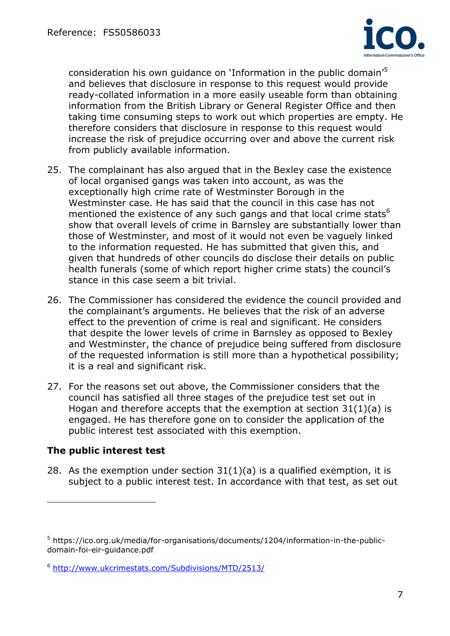

consideration his own quidance on 'Information in the public domain'<sup>5</sup> and believes that disclosure in response to this request would provide ready-collated information in a more easily useable form than obtaining information from the British Library or General Register Office and then taking time consuming steps to work out which properties are empty. He therefore considers that disclosure in response to this request would increase the risk of prejudice occurring over and above the current risk from publicly available information.

- 25. The complainant has also argued that in the Bexley case the existence of local organised gangs was taken into account, as was the exceptionally high crime rate of Westminster Borough in the Westminster case. He has said that the council in this case has not mentioned the existence of any such gangs and that local crime stats<sup>6</sup> show that overall levels of crime in Barnsley are substantially lower than those of Westminster, and most of it would not even be vaguely linked to the information requested. He has submitted that given this, and given that hundreds of other councils do disclose their details on public health funerals (some of which report higher crime stats) the council's stance in this case seem a bit trivial.
- 26. The Commissioner has considered the evidence the council provided and the complainant's arguments. He believes that the risk of an adverse effect to the prevention of crime is real and significant. He considers that despite the lower levels of crime in Barnsley as opposed to Bexley and Westminster, the chance of prejudice being suffered from disclosure of the requested information is still more than a hypothetical possibility; it is a real and significant risk.
- 27. For the reasons set out above, the Commissioner considers that the council has satisfied all three stages of the prejudice test set out in Hogan and therefore accepts that the exemption at section 31(1)(a) is engaged. He has therefore gone on to consider the application of the public interest test associated with this exemption.

# **The public interest test**

 $\overline{a}$ 

28. As the exemption under section  $31(1)(a)$  is a qualified exemption, it is subject to a public interest test. In accordance with that test, as set out

<sup>&</sup>lt;sup>5</sup> https://ico.org.uk/media/for-organisations/documents/1204/information-in-the-publicdomain-foi-eir-guidance.pdf

<sup>6</sup> http://www.ukcrimestats.com/Subdivisions/MTD/2513/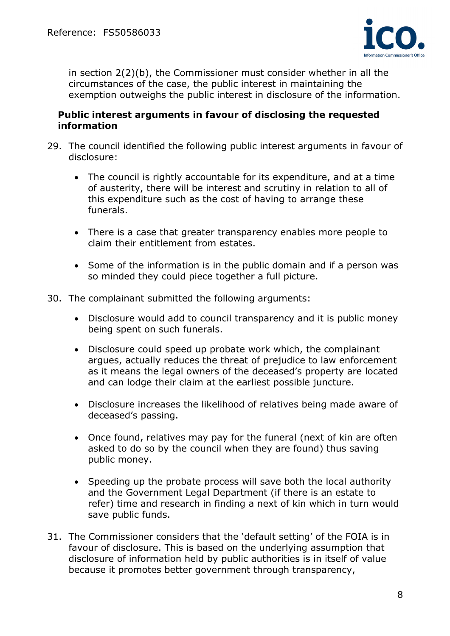

in section 2(2)(b), the Commissioner must consider whether in all the circumstances of the case, the public interest in maintaining the exemption outweighs the public interest in disclosure of the information.

#### **Public interest arguments in favour of disclosing the requested information**

- 29. The council identified the following public interest arguments in favour of disclosure:
	- The council is rightly accountable for its expenditure, and at a time of austerity, there will be interest and scrutiny in relation to all of this expenditure such as the cost of having to arrange these funerals.
	- There is a case that greater transparency enables more people to claim their entitlement from estates.
	- Some of the information is in the public domain and if a person was so minded they could piece together a full picture.
- 30. The complainant submitted the following arguments:
	- Disclosure would add to council transparency and it is public money being spent on such funerals.
	- Disclosure could speed up probate work which, the complainant argues, actually reduces the threat of prejudice to law enforcement as it means the legal owners of the deceased's property are located and can lodge their claim at the earliest possible juncture.
	- Disclosure increases the likelihood of relatives being made aware of deceased's passing.
	- Once found, relatives may pay for the funeral (next of kin are often asked to do so by the council when they are found) thus saving public money.
	- Speeding up the probate process will save both the local authority and the Government Legal Department (if there is an estate to refer) time and research in finding a next of kin which in turn would save public funds.
- 31. The Commissioner considers that the 'default setting' of the FOIA is in favour of disclosure. This is based on the underlying assumption that disclosure of information held by public authorities is in itself of value because it promotes better government through transparency,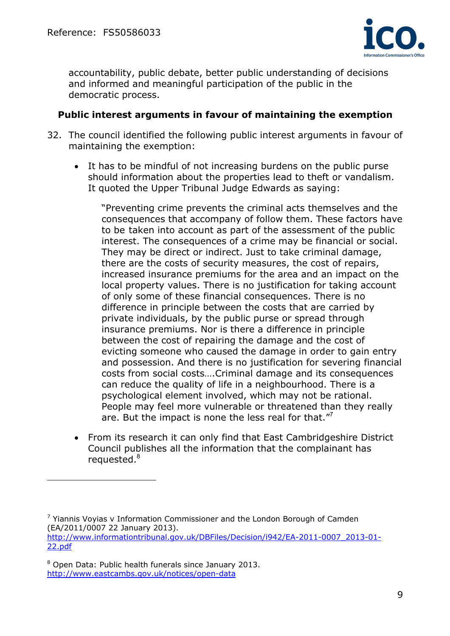

accountability, public debate, better public understanding of decisions and informed and meaningful participation of the public in the democratic process.

### **Public interest arguments in favour of maintaining the exemption**

- 32. The council identified the following public interest arguments in favour of maintaining the exemption:
	- It has to be mindful of not increasing burdens on the public purse should information about the properties lead to theft or vandalism. It quoted the Upper Tribunal Judge Edwards as saying:

 "Preventing crime prevents the criminal acts themselves and the consequences that accompany of follow them. These factors have to be taken into account as part of the assessment of the public interest. The consequences of a crime may be financial or social. They may be direct or indirect. Just to take criminal damage, there are the costs of security measures, the cost of repairs, increased insurance premiums for the area and an impact on the local property values. There is no justification for taking account of only some of these financial consequences. There is no difference in principle between the costs that are carried by private individuals, by the public purse or spread through insurance premiums. Nor is there a difference in principle between the cost of repairing the damage and the cost of evicting someone who caused the damage in order to gain entry and possession. And there is no justification for severing financial costs from social costs….Criminal damage and its consequences can reduce the quality of life in a neighbourhood. There is a psychological element involved, which may not be rational. People may feel more vulnerable or threatened than they really are. But the impact is none the less real for that. $\mathbf{r}^7$ 

• From its research it can only find that East Cambridgeshire District Council publishes all the information that the complainant has requested.<sup>8</sup>

<sup>&</sup>lt;sup>7</sup> Yiannis Voyias v Information Commissioner and the London Borough of Camden (EA/2011/0007 22 January 2013). http://www.informationtribunal.gov.uk/DBFiles/Decision/i942/EA-2011-0007\_2013-01- 22.pdf

<sup>&</sup>lt;sup>8</sup> Open Data: Public health funerals since January 2013. http://www.eastcambs.gov.uk/notices/open-data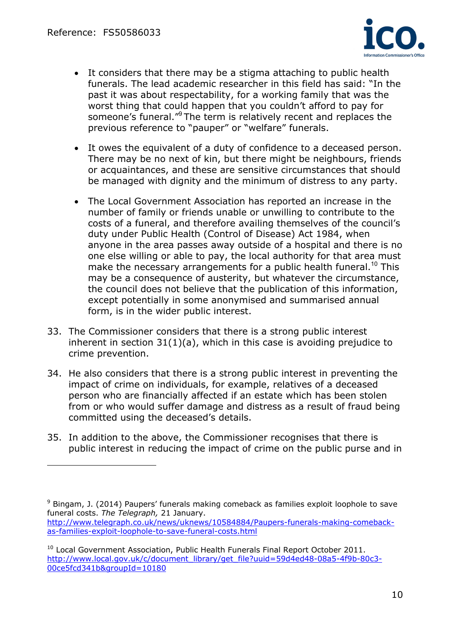

- It considers that there may be a stigma attaching to public health funerals. The lead academic researcher in this field has said: "In the past it was about respectability, for a working family that was the worst thing that could happen that you couldn't afford to pay for someone's funeral."<sup>9</sup> The term is relatively recent and replaces the previous reference to "pauper" or "welfare" funerals.
- It owes the equivalent of a duty of confidence to a deceased person. There may be no next of kin, but there might be neighbours, friends or acquaintances, and these are sensitive circumstances that should be managed with dignity and the minimum of distress to any party.
- The Local Government Association has reported an increase in the number of family or friends unable or unwilling to contribute to the costs of a funeral, and therefore availing themselves of the council's duty under Public Health (Control of Disease) Act 1984, when anyone in the area passes away outside of a hospital and there is no one else willing or able to pay, the local authority for that area must make the necessary arrangements for a public health funeral.<sup>10</sup> This may be a consequence of austerity, but whatever the circumstance, the council does not believe that the publication of this information, except potentially in some anonymised and summarised annual form, is in the wider public interest.
- 33. The Commissioner considers that there is a strong public interest inherent in section  $31(1)(a)$ , which in this case is avoiding prejudice to crime prevention.
- 34. He also considers that there is a strong public interest in preventing the impact of crime on individuals, for example, relatives of a deceased person who are financially affected if an estate which has been stolen from or who would suffer damage and distress as a result of fraud being committed using the deceased's details.
- 35. In addition to the above, the Commissioner recognises that there is public interest in reducing the impact of crime on the public purse and in

<sup>&</sup>lt;sup>9</sup> Bingam, J. (2014) Paupers' funerals making comeback as families exploit loophole to save funeral costs. *The Telegraph,* 21 January. http://www.telegraph.co.uk/news/uknews/10584884/Paupers-funerals-making-comeback-

as-families-exploit-loophole-to-save-funeral-costs.html

 $10$  Local Government Association, Public Health Funerals Final Report October 2011. http://www.local.gov.uk/c/document\_library/get\_file?uuid=59d4ed48-08a5-4f9b-80c3- 00ce5fcd341b&groupId=10180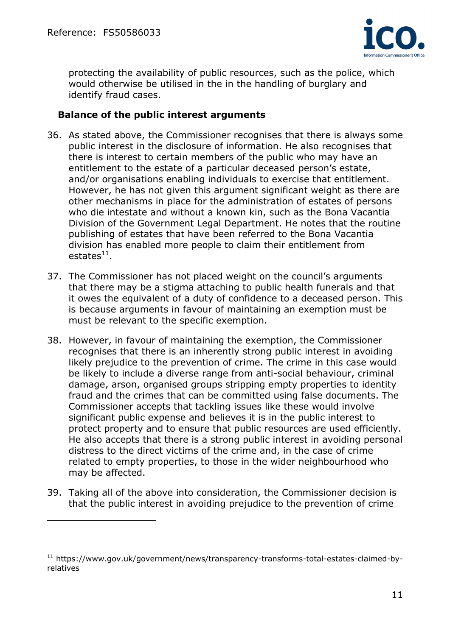$\overline{a}$ 



protecting the availability of public resources, such as the police, which would otherwise be utilised in the in the handling of burglary and identify fraud cases.

### **Balance of the public interest arguments**

- 36. As stated above, the Commissioner recognises that there is always some public interest in the disclosure of information. He also recognises that there is interest to certain members of the public who may have an entitlement to the estate of a particular deceased person's estate, and/or organisations enabling individuals to exercise that entitlement. However, he has not given this argument significant weight as there are other mechanisms in place for the administration of estates of persons who die intestate and without a known kin, such as the Bona Vacantia Division of the Government Legal Department. He notes that the routine publishing of estates that have been referred to the Bona Vacantia division has enabled more people to claim their entitlement from  $estates<sup>11</sup>$ .
- 37. The Commissioner has not placed weight on the council's arguments that there may be a stigma attaching to public health funerals and that it owes the equivalent of a duty of confidence to a deceased person. This is because arguments in favour of maintaining an exemption must be must be relevant to the specific exemption.
- 38. However, in favour of maintaining the exemption, the Commissioner recognises that there is an inherently strong public interest in avoiding likely prejudice to the prevention of crime. The crime in this case would be likely to include a diverse range from anti-social behaviour, criminal damage, arson, organised groups stripping empty properties to identity fraud and the crimes that can be committed using false documents. The Commissioner accepts that tackling issues like these would involve significant public expense and believes it is in the public interest to protect property and to ensure that public resources are used efficiently. He also accepts that there is a strong public interest in avoiding personal distress to the direct victims of the crime and, in the case of crime related to empty properties, to those in the wider neighbourhood who may be affected.
- 39. Taking all of the above into consideration, the Commissioner decision is that the public interest in avoiding prejudice to the prevention of crime

<sup>11</sup> https://www.gov.uk/government/news/transparency-transforms-total-estates-claimed-byrelatives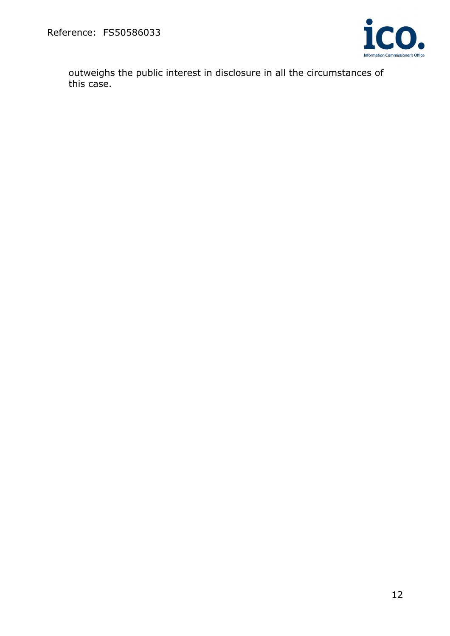

outweighs the public interest in disclosure in all the circumstances of this case.